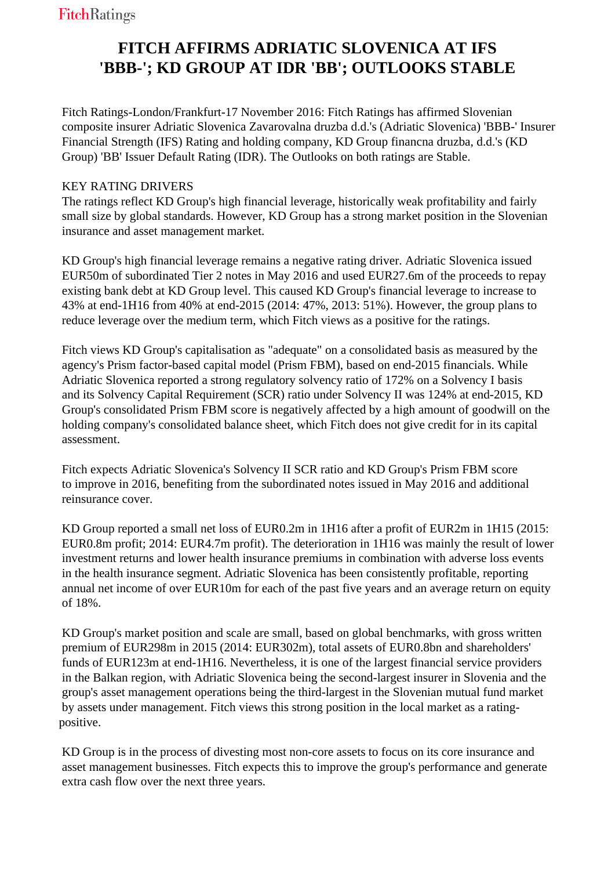## **FITCH AFFIRMS ADRIATIC SLOVENICA AT IFS 'BBB-'; KD GROUP AT IDR 'BB'; OUTLOOKS STABLE**

 Fitch Ratings-London/Frankfurt-17 November 2016: Fitch Ratings has affirmed Slovenian composite insurer Adriatic Slovenica Zavarovalna druzba d.d.'s (Adriatic Slovenica) 'BBB-' Insurer Financial Strength (IFS) Rating and holding company, KD Group financna druzba, d.d.'s (KD Group) 'BB' Issuer Default Rating (IDR). The Outlooks on both ratings are Stable.

## KEY RATING DRIVERS

 The ratings reflect KD Group's high financial leverage, historically weak profitability and fairly small size by global standards. However, KD Group has a strong market position in the Slovenian insurance and asset management market.

 KD Group's high financial leverage remains a negative rating driver. Adriatic Slovenica issued EUR50m of subordinated Tier 2 notes in May 2016 and used EUR27.6m of the proceeds to repay existing bank debt at KD Group level. This caused KD Group's financial leverage to increase to 43% at end-1H16 from 40% at end-2015 (2014: 47%, 2013: 51%). However, the group plans to reduce leverage over the medium term, which Fitch views as a positive for the ratings.

 Fitch views KD Group's capitalisation as "adequate" on a consolidated basis as measured by the agency's Prism factor-based capital model (Prism FBM), based on end-2015 financials. While Adriatic Slovenica reported a strong regulatory solvency ratio of 172% on a Solvency I basis and its Solvency Capital Requirement (SCR) ratio under Solvency II was 124% at end-2015, KD Group's consolidated Prism FBM score is negatively affected by a high amount of goodwill on the holding company's consolidated balance sheet, which Fitch does not give credit for in its capital assessment.

 Fitch expects Adriatic Slovenica's Solvency II SCR ratio and KD Group's Prism FBM score to improve in 2016, benefiting from the subordinated notes issued in May 2016 and additional reinsurance cover.

 KD Group reported a small net loss of EUR0.2m in 1H16 after a profit of EUR2m in 1H15 (2015: EUR0.8m profit; 2014: EUR4.7m profit). The deterioration in 1H16 was mainly the result of lower investment returns and lower health insurance premiums in combination with adverse loss events in the health insurance segment. Adriatic Slovenica has been consistently profitable, reporting annual net income of over EUR10m for each of the past five years and an average return on equity of 18%.

 KD Group's market position and scale are small, based on global benchmarks, with gross written premium of EUR298m in 2015 (2014: EUR302m), total assets of EUR0.8bn and shareholders' funds of EUR123m at end-1H16. Nevertheless, it is one of the largest financial service providers in the Balkan region, with Adriatic Slovenica being the second-largest insurer in Slovenia and the group's asset management operations being the third-largest in the Slovenian mutual fund market by assets under management. Fitch views this strong position in the local market as a ratingpositive.

 KD Group is in the process of divesting most non-core assets to focus on its core insurance and asset management businesses. Fitch expects this to improve the group's performance and generate extra cash flow over the next three years.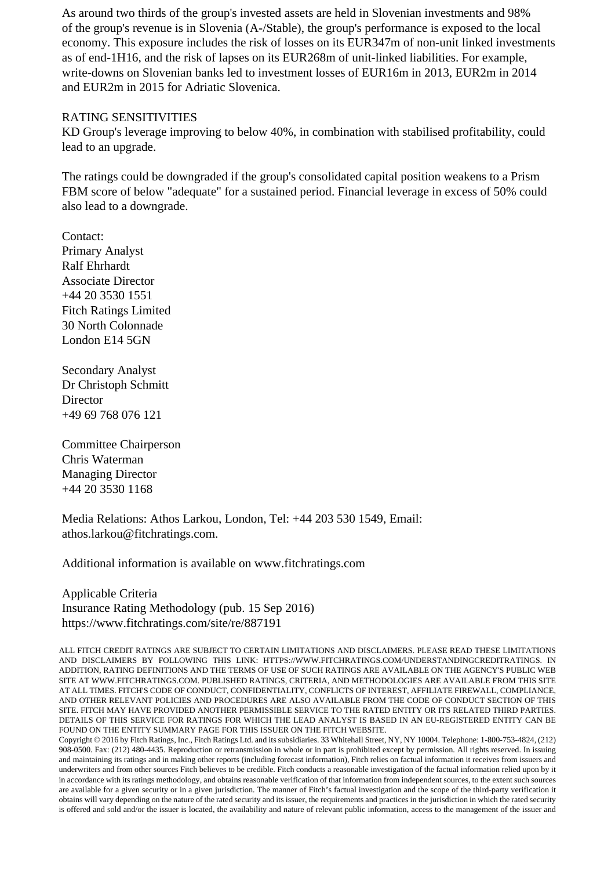As around two thirds of the group's invested assets are held in Slovenian investments and 98% of the group's revenue is in Slovenia (A-/Stable), the group's performance is exposed to the local economy. This exposure includes the risk of losses on its EUR347m of non-unit linked investments as of end-1H16, and the risk of lapses on its EUR268m of unit-linked liabilities. For example, write-downs on Slovenian banks led to investment losses of EUR16m in 2013, EUR2m in 2014 and EUR2m in 2015 for Adriatic Slovenica.

## RATING SENSITIVITIES

 KD Group's leverage improving to below 40%, in combination with stabilised profitability, could lead to an upgrade.

 The ratings could be downgraded if the group's consolidated capital position weakens to a Prism FBM score of below "adequate" for a sustained period. Financial leverage in excess of 50% could also lead to a downgrade.

 Contact: Primary Analyst Ralf Ehrhardt Associate Director +44 20 3530 1551 Fitch Ratings Limited 30 North Colonnade London E14 5GN

 Secondary Analyst Dr Christoph Schmitt Director +49 69 768 076 121

 Committee Chairperson Chris Waterman Managing Director +44 20 3530 1168

 Media Relations: Athos Larkou, London, Tel: +44 203 530 1549, Email: athos.larkou@fitchratings.com.

Additional information is available on www.fitchratings.com

 Applicable Criteria Insurance Rating Methodology (pub. 15 Sep 2016) https://www.fitchratings.com/site/re/887191

ALL FITCH CREDIT RATINGS ARE SUBJECT TO CERTAIN LIMITATIONS AND DISCLAIMERS. PLEASE READ THESE LIMITATIONS AND DISCLAIMERS BY FOLLOWING THIS LINK: HTTPS://WWW.FITCHRATINGS.COM/UNDERSTANDINGCREDITRATINGS. IN ADDITION, RATING DEFINITIONS AND THE TERMS OF USE OF SUCH RATINGS ARE AVAILABLE ON THE AGENCY'S PUBLIC WEB SITE AT WWW.FITCHRATINGS.COM. PUBLISHED RATINGS, CRITERIA, AND METHODOLOGIES ARE AVAILABLE FROM THIS SITE AT ALL TIMES. FITCH'S CODE OF CONDUCT, CONFIDENTIALITY, CONFLICTS OF INTEREST, AFFILIATE FIREWALL, COMPLIANCE, AND OTHER RELEVANT POLICIES AND PROCEDURES ARE ALSO AVAILABLE FROM THE CODE OF CONDUCT SECTION OF THIS SITE. FITCH MAY HAVE PROVIDED ANOTHER PERMISSIBLE SERVICE TO THE RATED ENTITY OR ITS RELATED THIRD PARTIES. DETAILS OF THIS SERVICE FOR RATINGS FOR WHICH THE LEAD ANALYST IS BASED IN AN EU-REGISTERED ENTITY CAN BE FOUND ON THE ENTITY SUMMARY PAGE FOR THIS ISSUER ON THE FITCH WEBSITE.

Copyright © 2016 by Fitch Ratings, Inc., Fitch Ratings Ltd. and its subsidiaries. 33 Whitehall Street, NY, NY 10004. Telephone: 1-800-753-4824, (212) 908-0500. Fax: (212) 480-4435. Reproduction or retransmission in whole or in part is prohibited except by permission. All rights reserved. In issuing and maintaining its ratings and in making other reports (including forecast information), Fitch relies on factual information it receives from issuers and underwriters and from other sources Fitch believes to be credible. Fitch conducts a reasonable investigation of the factual information relied upon by it in accordance with its ratings methodology, and obtains reasonable verification of that information from independent sources, to the extent such sources are available for a given security or in a given jurisdiction. The manner of Fitch's factual investigation and the scope of the third-party verification it obtains will vary depending on the nature of the rated security and its issuer, the requirements and practices in the jurisdiction in which the rated security is offered and sold and/or the issuer is located, the availability and nature of relevant public information, access to the management of the issuer and